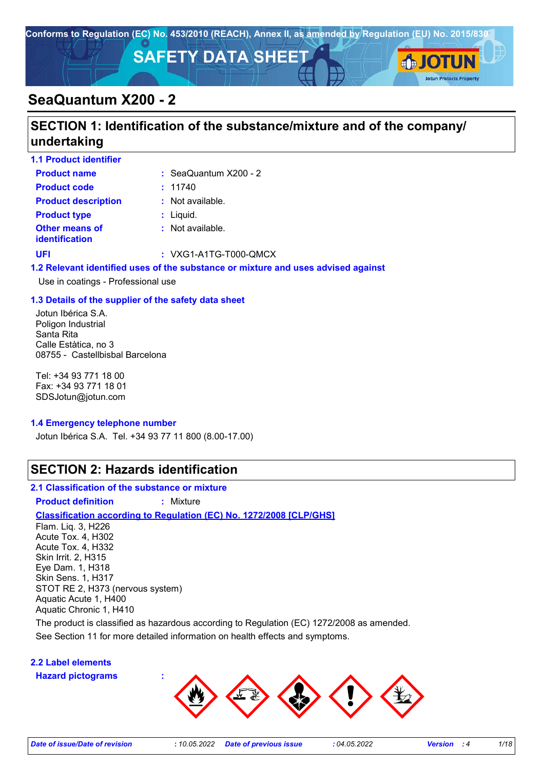

# **SeaQuantum X200 - 2**

# **SECTION 1: Identification of the substance/mixture and of the company/ undertaking**

| <b>1.1 Product identifier</b>           |                           |
|-----------------------------------------|---------------------------|
| <b>Product name</b>                     | $:$ SeaQuantum $X200 - 2$ |
| <b>Product code</b>                     | : 11740                   |
| <b>Product description</b>              | : Not available.          |
| <b>Product type</b>                     | $:$ Liquid.               |
| <b>Other means of</b><br>identification | : Not available.          |
| UFI                                     | : VXG1-A1TG-T000-QMCX     |
|                                         |                           |

### **1.2 Relevant identified uses of the substance or mixture and uses advised against**

Use in coatings - Professional use

### **1.3 Details of the supplier of the safety data sheet**

Jotun Ibérica S.A. Poligon Industrial Santa Rita Calle Estàtica, no 3 08755 - Castellbisbal Barcelona

Tel: +34 93 771 18 00 Fax: +34 93 771 18 01 SDSJotun@jotun.com

### **1.4 Emergency telephone number**

Jotun Ibérica S.A. Tel. +34 93 77 11 800 (8.00-17.00)

## **SECTION 2: Hazards identification**

#### **2.1 Classification of the substance or mixture**

**Product definition :** Mixture

## **Classification according to Regulation (EC) No. 1272/2008 [CLP/GHS]**

Flam. Liq. 3, H226 Acute Tox. 4, H302 Acute Tox. 4, H332 Skin Irrit. 2, H315 Eye Dam. 1, H318 Skin Sens. 1, H317 STOT RE 2, H373 (nervous system) Aquatic Acute 1, H400 Aquatic Chronic 1, H410

The product is classified as hazardous according to Regulation (EC) 1272/2008 as amended.

See Section 11 for more detailed information on health effects and symptoms.

## **2.2 Label elements**

**Hazard pictograms :**



**Jotun Protects Property**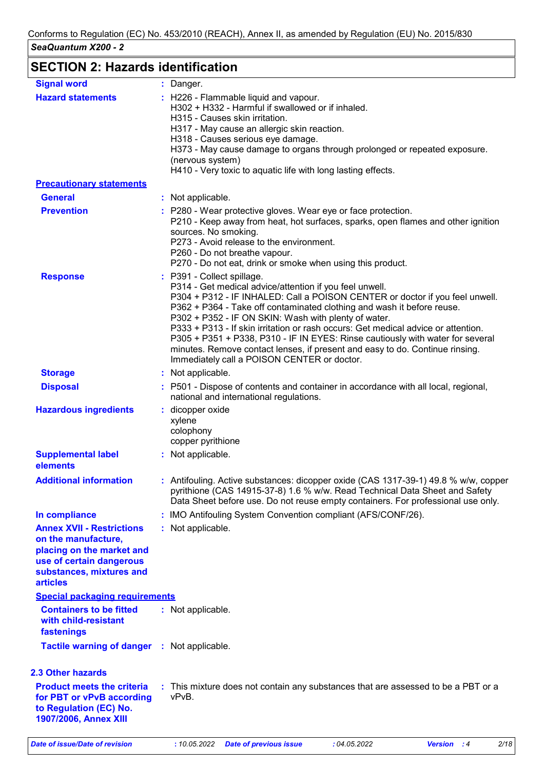# **SECTION 2: Hazards identification**

| <b>Signal word</b>                                                                                                                                              | : Danger.                                                                                                                                                                                                                                                                                                                                                                                                                                                                                                                                                                                                     |  |
|-----------------------------------------------------------------------------------------------------------------------------------------------------------------|---------------------------------------------------------------------------------------------------------------------------------------------------------------------------------------------------------------------------------------------------------------------------------------------------------------------------------------------------------------------------------------------------------------------------------------------------------------------------------------------------------------------------------------------------------------------------------------------------------------|--|
| <b>Hazard statements</b>                                                                                                                                        | : H226 - Flammable liquid and vapour.<br>H302 + H332 - Harmful if swallowed or if inhaled.<br>H315 - Causes skin irritation.<br>H317 - May cause an allergic skin reaction.<br>H318 - Causes serious eye damage.<br>H373 - May cause damage to organs through prolonged or repeated exposure.<br>(nervous system)<br>H410 - Very toxic to aquatic life with long lasting effects.                                                                                                                                                                                                                             |  |
| <b>Precautionary statements</b>                                                                                                                                 |                                                                                                                                                                                                                                                                                                                                                                                                                                                                                                                                                                                                               |  |
| <b>General</b>                                                                                                                                                  | : Not applicable.                                                                                                                                                                                                                                                                                                                                                                                                                                                                                                                                                                                             |  |
| <b>Prevention</b>                                                                                                                                               | : P280 - Wear protective gloves. Wear eye or face protection.<br>P210 - Keep away from heat, hot surfaces, sparks, open flames and other ignition<br>sources. No smoking.<br>P273 - Avoid release to the environment.<br>P260 - Do not breathe vapour.<br>P270 - Do not eat, drink or smoke when using this product.                                                                                                                                                                                                                                                                                          |  |
| <b>Response</b>                                                                                                                                                 | : P391 - Collect spillage.<br>P314 - Get medical advice/attention if you feel unwell.<br>P304 + P312 - IF INHALED: Call a POISON CENTER or doctor if you feel unwell.<br>P362 + P364 - Take off contaminated clothing and wash it before reuse.<br>P302 + P352 - IF ON SKIN: Wash with plenty of water.<br>P333 + P313 - If skin irritation or rash occurs: Get medical advice or attention.<br>P305 + P351 + P338, P310 - IF IN EYES: Rinse cautiously with water for several<br>minutes. Remove contact lenses, if present and easy to do. Continue rinsing.<br>Immediately call a POISON CENTER or doctor. |  |
| <b>Storage</b>                                                                                                                                                  | : Not applicable.                                                                                                                                                                                                                                                                                                                                                                                                                                                                                                                                                                                             |  |
| <b>Disposal</b>                                                                                                                                                 | : P501 - Dispose of contents and container in accordance with all local, regional,<br>national and international regulations.                                                                                                                                                                                                                                                                                                                                                                                                                                                                                 |  |
| <b>Hazardous ingredients</b>                                                                                                                                    | : dicopper oxide<br>xylene<br>colophony<br>copper pyrithione                                                                                                                                                                                                                                                                                                                                                                                                                                                                                                                                                  |  |
| <b>Supplemental label</b><br>elements                                                                                                                           | : Not applicable.                                                                                                                                                                                                                                                                                                                                                                                                                                                                                                                                                                                             |  |
| <b>Additional information</b>                                                                                                                                   | : Antifouling. Active substances: dicopper oxide (CAS 1317-39-1) 49.8 % w/w, copper<br>pyrithione (CAS 14915-37-8) 1.6 % w/w. Read Technical Data Sheet and Safety<br>Data Sheet before use. Do not reuse empty containers. For professional use only.                                                                                                                                                                                                                                                                                                                                                        |  |
| In compliance                                                                                                                                                   | : IMO Antifouling System Convention compliant (AFS/CONF/26).                                                                                                                                                                                                                                                                                                                                                                                                                                                                                                                                                  |  |
| <b>Annex XVII - Restrictions</b><br>on the manufacture,<br>placing on the market and<br>use of certain dangerous<br>substances, mixtures and<br><b>articles</b> | : Not applicable.                                                                                                                                                                                                                                                                                                                                                                                                                                                                                                                                                                                             |  |
| <b>Special packaging requirements</b>                                                                                                                           |                                                                                                                                                                                                                                                                                                                                                                                                                                                                                                                                                                                                               |  |
| <b>Containers to be fitted</b><br>with child-resistant<br>fastenings                                                                                            | : Not applicable.                                                                                                                                                                                                                                                                                                                                                                                                                                                                                                                                                                                             |  |
| <b>Tactile warning of danger : Not applicable.</b>                                                                                                              |                                                                                                                                                                                                                                                                                                                                                                                                                                                                                                                                                                                                               |  |
| <b>2.3 Other hazards</b>                                                                                                                                        |                                                                                                                                                                                                                                                                                                                                                                                                                                                                                                                                                                                                               |  |
| <b>Product meets the criteria</b><br>for PBT or vPvB according<br>to Regulation (EC) No.<br>1907/2006, Annex XIII                                               | : This mixture does not contain any substances that are assessed to be a PBT or a<br>vPvB.                                                                                                                                                                                                                                                                                                                                                                                                                                                                                                                    |  |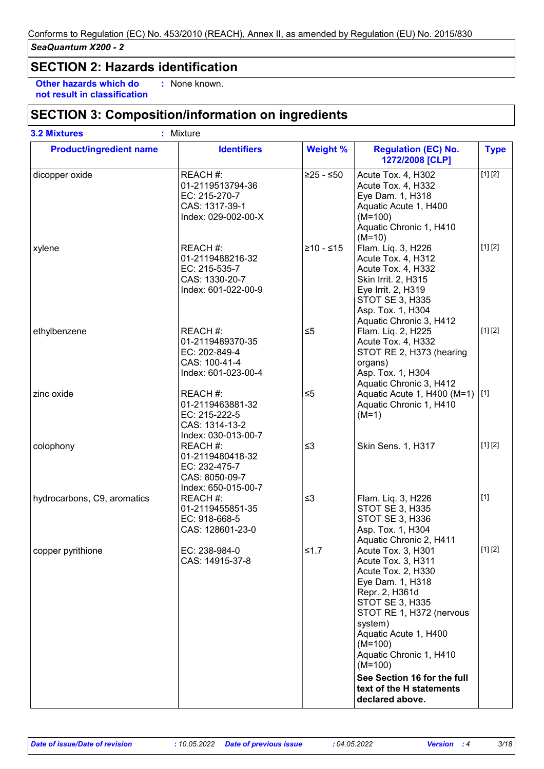## **SECTION 2: Hazards identification**

**Other hazards which do : not result in classification** : None known.

## **SECTION 3: Composition/information on ingredients**

| <b>Product/ingredient name</b> | <b>Identifiers</b>                                                                     | <b>Weight %</b> | <b>Regulation (EC) No.</b><br>1272/2008 [CLP]                                                                                                                                                                                                       | <b>Type</b> |
|--------------------------------|----------------------------------------------------------------------------------------|-----------------|-----------------------------------------------------------------------------------------------------------------------------------------------------------------------------------------------------------------------------------------------------|-------------|
| dicopper oxide                 | REACH #:<br>01-2119513794-36<br>EC: 215-270-7<br>CAS: 1317-39-1<br>Index: 029-002-00-X | $≥25 - ≤50$     | Acute Tox. 4, H302<br>Acute Tox. 4, H332<br>Eye Dam. 1, H318<br>Aquatic Acute 1, H400<br>$(M=100)$<br>Aquatic Chronic 1, H410<br>$(M=10)$                                                                                                           | [1] [2]     |
| xylene                         | REACH #:<br>01-2119488216-32<br>EC: 215-535-7<br>CAS: 1330-20-7<br>Index: 601-022-00-9 | $≥10 - ≤15$     | Flam. Liq. 3, H226<br>Acute Tox. 4, H312<br>Acute Tox. 4, H332<br>Skin Irrit. 2, H315<br>Eye Irrit. 2, H319<br>STOT SE 3, H335<br>Asp. Tox. 1, H304<br>Aquatic Chronic 3, H412                                                                      | [1] [2]     |
| ethylbenzene                   | REACH #:<br>01-2119489370-35<br>EC: 202-849-4<br>CAS: 100-41-4<br>Index: 601-023-00-4  | $\leq 5$        | Flam. Liq. 2, H225<br>Acute Tox. 4, H332<br>STOT RE 2, H373 (hearing<br>organs)<br>Asp. Tox. 1, H304<br>Aquatic Chronic 3, H412                                                                                                                     | [1] [2]     |
| zinc oxide                     | REACH #:<br>01-2119463881-32<br>EC: 215-222-5<br>CAS: 1314-13-2<br>Index: 030-013-00-7 | $\leq 5$        | Aquatic Acute 1, H400 (M=1) [1]<br>Aquatic Chronic 1, H410<br>$(M=1)$                                                                                                                                                                               |             |
| colophony                      | REACH #:<br>01-2119480418-32<br>EC: 232-475-7<br>CAS: 8050-09-7<br>Index: 650-015-00-7 | $\leq$ 3        | Skin Sens. 1, H317                                                                                                                                                                                                                                  | [1] [2]     |
| hydrocarbons, C9, aromatics    | REACH #:<br>01-2119455851-35<br>EC: 918-668-5<br>CAS: 128601-23-0                      | $\leq$ 3        | Flam. Liq. 3, H226<br><b>STOT SE 3, H335</b><br><b>STOT SE 3, H336</b><br>Asp. Tox. 1, H304<br>Aquatic Chronic 2, H411                                                                                                                              | $[1]$       |
| copper pyrithione              | EC: 238-984-0<br>CAS: 14915-37-8                                                       | $≤1.7$          | Acute Tox. 3, H301<br>Acute Tox. 3, H311<br>Acute Tox. 2, H330<br>Eye Dam. 1, H318<br>Repr. 2, H361d<br><b>STOT SE 3, H335</b><br>STOT RE 1, H372 (nervous<br>system)<br>Aquatic Acute 1, H400<br>$(M=100)$<br>Aquatic Chronic 1, H410<br>$(M=100)$ | [1] [2]     |
|                                |                                                                                        |                 | See Section 16 for the full<br>text of the H statements<br>declared above.                                                                                                                                                                          |             |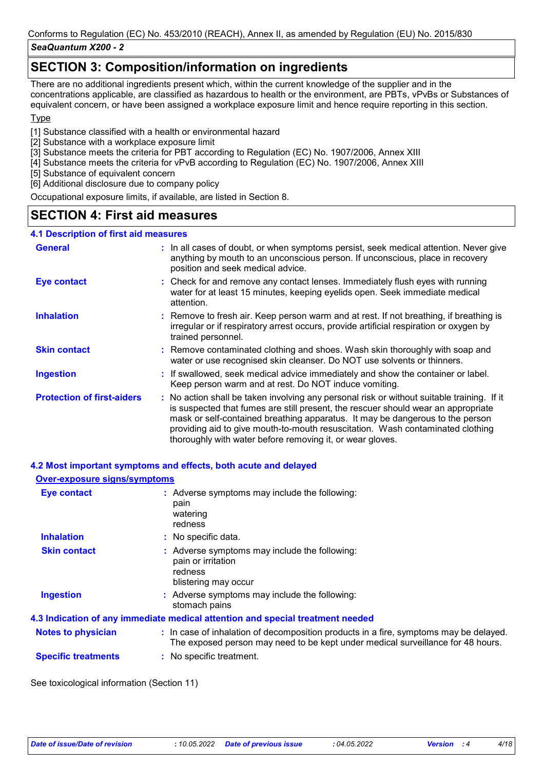## *SeaQuantum X200 - 2*

## **SECTION 3: Composition/information on ingredients**

There are no additional ingredients present which, within the current knowledge of the supplier and in the concentrations applicable, are classified as hazardous to health or the environment, are PBTs, vPvBs or Substances of equivalent concern, or have been assigned a workplace exposure limit and hence require reporting in this section.

## **Type**

[1] Substance classified with a health or environmental hazard

- [2] Substance with a workplace exposure limit
- [3] Substance meets the criteria for PBT according to Regulation (EC) No. 1907/2006, Annex XIII
- [4] Substance meets the criteria for vPvB according to Regulation (EC) No. 1907/2006, Annex XIII
- [5] Substance of equivalent concern
- [6] Additional disclosure due to company policy

Occupational exposure limits, if available, are listed in Section 8.

## **SECTION 4: First aid measures**

## **4.1 Description of first aid measures**

| <b>General</b>                    | : In all cases of doubt, or when symptoms persist, seek medical attention. Never give<br>anything by mouth to an unconscious person. If unconscious, place in recovery<br>position and seek medical advice.                                                                                                                                                                                                     |  |
|-----------------------------------|-----------------------------------------------------------------------------------------------------------------------------------------------------------------------------------------------------------------------------------------------------------------------------------------------------------------------------------------------------------------------------------------------------------------|--|
| <b>Eye contact</b>                | : Check for and remove any contact lenses. Immediately flush eyes with running<br>water for at least 15 minutes, keeping eyelids open. Seek immediate medical<br>attention.                                                                                                                                                                                                                                     |  |
| <b>Inhalation</b>                 | : Remove to fresh air. Keep person warm and at rest. If not breathing, if breathing is<br>irregular or if respiratory arrest occurs, provide artificial respiration or oxygen by<br>trained personnel.                                                                                                                                                                                                          |  |
| <b>Skin contact</b>               | : Remove contaminated clothing and shoes. Wash skin thoroughly with soap and<br>water or use recognised skin cleanser. Do NOT use solvents or thinners.                                                                                                                                                                                                                                                         |  |
| <b>Ingestion</b>                  | : If swallowed, seek medical advice immediately and show the container or label.<br>Keep person warm and at rest. Do NOT induce vomiting.                                                                                                                                                                                                                                                                       |  |
| <b>Protection of first-aiders</b> | : No action shall be taken involving any personal risk or without suitable training. If it<br>is suspected that fumes are still present, the rescuer should wear an appropriate<br>mask or self-contained breathing apparatus. It may be dangerous to the person<br>providing aid to give mouth-to-mouth resuscitation. Wash contaminated clothing<br>thoroughly with water before removing it, or wear gloves. |  |

## **4.2 Most important symptoms and effects, both acute and delayed**

# **Over-exposure signs/symptoms**

| <b>Eye contact</b>         | : Adverse symptoms may include the following:<br>pain<br>watering<br>redness                                                                                             |
|----------------------------|--------------------------------------------------------------------------------------------------------------------------------------------------------------------------|
| <b>Inhalation</b>          | : No specific data.                                                                                                                                                      |
| <b>Skin contact</b>        | : Adverse symptoms may include the following:<br>pain or irritation<br>redness<br>blistering may occur                                                                   |
| <b>Ingestion</b>           | : Adverse symptoms may include the following:<br>stomach pains                                                                                                           |
|                            | 4.3 Indication of any immediate medical attention and special treatment needed                                                                                           |
| <b>Notes to physician</b>  | : In case of inhalation of decomposition products in a fire, symptoms may be delayed.<br>The exposed person may need to be kept under medical surveillance for 48 hours. |
| <b>Specific treatments</b> | : No specific treatment.                                                                                                                                                 |
|                            |                                                                                                                                                                          |

See toxicological information (Section 11)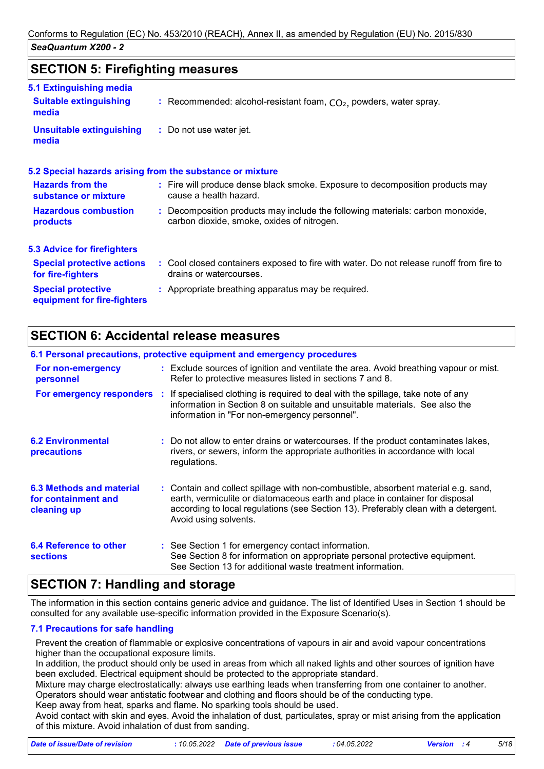## **SECTION 5: Firefighting measures**

| 5.1 Extinguishing media                                  |                                                                                                                              |
|----------------------------------------------------------|------------------------------------------------------------------------------------------------------------------------------|
| <b>Suitable extinguishing</b><br>media                   | : Recommended: alcohol-resistant foam, $CO2$ , powders, water spray.                                                         |
| <b>Unsuitable extinguishing</b><br>media                 | : Do not use water jet.                                                                                                      |
|                                                          | 5.2 Special hazards arising from the substance or mixture                                                                    |
| <b>Hazards from the</b><br>substance or mixture          | : Fire will produce dense black smoke. Exposure to decomposition products may<br>cause a health hazard.                      |
| <b>Hazardous combustion</b><br>products                  | : Decomposition products may include the following materials: carbon monoxide,<br>carbon dioxide, smoke, oxides of nitrogen. |
| <b>5.3 Advice for firefighters</b>                       |                                                                                                                              |
| <b>Special protective actions</b><br>for fire-fighters   | : Cool closed containers exposed to fire with water. Do not release runoff from fire to<br>drains or watercourses.           |
| <b>Special protective</b><br>equipment for fire-fighters | : Appropriate breathing apparatus may be required.                                                                           |
|                                                          |                                                                                                                              |

## **SECTION 6: Accidental release measures**

|                                                                       | 6.1 Personal precautions, protective equipment and emergency procedures                                                                                                                                                                                                            |
|-----------------------------------------------------------------------|------------------------------------------------------------------------------------------------------------------------------------------------------------------------------------------------------------------------------------------------------------------------------------|
| For non-emergency<br>personnel                                        | : Exclude sources of ignition and ventilate the area. Avoid breathing vapour or mist.<br>Refer to protective measures listed in sections 7 and 8.                                                                                                                                  |
|                                                                       | <b>For emergency responders</b> : If specialised clothing is required to deal with the spillage, take note of any<br>information in Section 8 on suitable and unsuitable materials. See also the<br>information in "For non-emergency personnel".                                  |
| <b>6.2 Environmental</b><br>precautions                               | : Do not allow to enter drains or watercourses. If the product contaminates lakes,<br>rivers, or sewers, inform the appropriate authorities in accordance with local<br>regulations.                                                                                               |
| <b>6.3 Methods and material</b><br>for containment and<br>cleaning up | : Contain and collect spillage with non-combustible, absorbent material e.g. sand,<br>earth, vermiculite or diatomaceous earth and place in container for disposal<br>according to local regulations (see Section 13). Preferably clean with a detergent.<br>Avoid using solvents. |
| 6.4 Reference to other<br><b>sections</b>                             | : See Section 1 for emergency contact information.<br>See Section 8 for information on appropriate personal protective equipment.<br>See Section 13 for additional waste treatment information.                                                                                    |

## **SECTION 7: Handling and storage**

The information in this section contains generic advice and guidance. The list of Identified Uses in Section 1 should be consulted for any available use-specific information provided in the Exposure Scenario(s).

## **7.1 Precautions for safe handling**

Prevent the creation of flammable or explosive concentrations of vapours in air and avoid vapour concentrations higher than the occupational exposure limits.

In addition, the product should only be used in areas from which all naked lights and other sources of ignition have been excluded. Electrical equipment should be protected to the appropriate standard.

Mixture may charge electrostatically: always use earthing leads when transferring from one container to another. Operators should wear antistatic footwear and clothing and floors should be of the conducting type.

Keep away from heat, sparks and flame. No sparking tools should be used.

Avoid contact with skin and eyes. Avoid the inhalation of dust, particulates, spray or mist arising from the application of this mixture. Avoid inhalation of dust from sanding.

| Date of issue/Date of revision | : 10.05.2022 Date of previous issue | : 04.05.2022 | <b>Version</b> : 4 | 5/18 |
|--------------------------------|-------------------------------------|--------------|--------------------|------|
|                                |                                     |              |                    |      |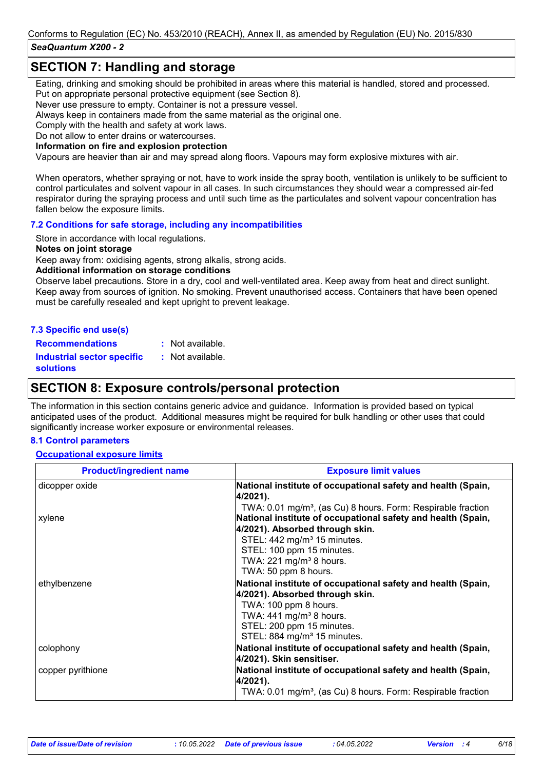## *SeaQuantum X200 - 2*

## **SECTION 7: Handling and storage**

Eating, drinking and smoking should be prohibited in areas where this material is handled, stored and processed. Put on appropriate personal protective equipment (see Section 8).

Never use pressure to empty. Container is not a pressure vessel.

Always keep in containers made from the same material as the original one.

Comply with the health and safety at work laws.

Do not allow to enter drains or watercourses.

#### **Information on fire and explosion protection**

Vapours are heavier than air and may spread along floors. Vapours may form explosive mixtures with air.

When operators, whether spraying or not, have to work inside the spray booth, ventilation is unlikely to be sufficient to control particulates and solvent vapour in all cases. In such circumstances they should wear a compressed air-fed respirator during the spraying process and until such time as the particulates and solvent vapour concentration has fallen below the exposure limits.

### **7.2 Conditions for safe storage, including any incompatibilities**

Store in accordance with local regulations.

#### **Notes on joint storage**

Keep away from: oxidising agents, strong alkalis, strong acids.

#### **Additional information on storage conditions**

Observe label precautions. Store in a dry, cool and well-ventilated area. Keep away from heat and direct sunlight. Keep away from sources of ignition. No smoking. Prevent unauthorised access. Containers that have been opened must be carefully resealed and kept upright to prevent leakage.

### **7.3 Specific end use(s)**

**Recommendations : Industrial sector specific : solutions** Not available. : Not available.

## **SECTION 8: Exposure controls/personal protection**

The information in this section contains generic advice and guidance. Information is provided based on typical anticipated uses of the product. Additional measures might be required for bulk handling or other uses that could significantly increase worker exposure or environmental releases.

### **8.1 Control parameters**

#### **Occupational exposure limits**

| <b>Product/ingredient name</b> | <b>Exposure limit values</b>                                                                                                                                                                                                              |
|--------------------------------|-------------------------------------------------------------------------------------------------------------------------------------------------------------------------------------------------------------------------------------------|
| dicopper oxide                 | National institute of occupational safety and health (Spain,<br>4/2021).                                                                                                                                                                  |
| xylene                         | TWA: 0.01 mg/m <sup>3</sup> , (as Cu) 8 hours. Form: Respirable fraction<br>National institute of occupational safety and health (Spain,<br>4/2021). Absorbed through skin.                                                               |
|                                | STEL: 442 mg/m <sup>3</sup> 15 minutes.<br>STEL: 100 ppm 15 minutes.<br>TWA: $221 \text{ mg/m}^3$ 8 hours.<br>TWA: 50 ppm 8 hours.                                                                                                        |
| ethylbenzene                   | National institute of occupational safety and health (Spain,<br>4/2021). Absorbed through skin.<br>TWA: 100 ppm 8 hours.<br>TWA: $441$ mg/m <sup>3</sup> 8 hours.<br>STEL: 200 ppm 15 minutes.<br>STEL: 884 mg/m <sup>3</sup> 15 minutes. |
| colophony                      | National institute of occupational safety and health (Spain,<br>4/2021). Skin sensitiser.                                                                                                                                                 |
| copper pyrithione              | National institute of occupational safety and health (Spain,<br>4/2021).<br>TWA: 0.01 mg/m <sup>3</sup> , (as Cu) 8 hours. Form: Respirable fraction                                                                                      |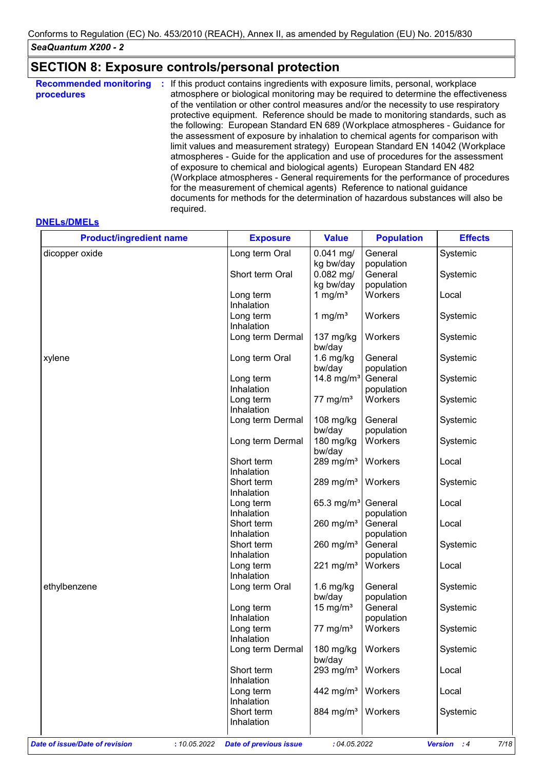# **SECTION 8: Exposure controls/personal protection**

| procedures<br>of the ventilation or other control measures and/or the necessity to use respiratory<br>the assessment of exposure by inhalation to chemical agents for comparison with<br>of exposure to chemical and biological agents) European Standard EN 482<br>for the measurement of chemical agents) Reference to national guidance<br>required. | <b>Recommended monitoring</b> | If this product contains ingredients with exposure limits, personal, workplace<br>atmosphere or biological monitoring may be required to determine the effectiveness<br>protective equipment. Reference should be made to monitoring standards, such as<br>the following: European Standard EN 689 (Workplace atmospheres - Guidance for<br>limit values and measurement strategy) European Standard EN 14042 (Workplace<br>atmospheres - Guide for the application and use of procedures for the assessment<br>(Workplace atmospheres - General requirements for the performance of procedures<br>documents for methods for the determination of hazardous substances will also be |
|---------------------------------------------------------------------------------------------------------------------------------------------------------------------------------------------------------------------------------------------------------------------------------------------------------------------------------------------------------|-------------------------------|-------------------------------------------------------------------------------------------------------------------------------------------------------------------------------------------------------------------------------------------------------------------------------------------------------------------------------------------------------------------------------------------------------------------------------------------------------------------------------------------------------------------------------------------------------------------------------------------------------------------------------------------------------------------------------------|
|---------------------------------------------------------------------------------------------------------------------------------------------------------------------------------------------------------------------------------------------------------------------------------------------------------------------------------------------------------|-------------------------------|-------------------------------------------------------------------------------------------------------------------------------------------------------------------------------------------------------------------------------------------------------------------------------------------------------------------------------------------------------------------------------------------------------------------------------------------------------------------------------------------------------------------------------------------------------------------------------------------------------------------------------------------------------------------------------------|

#### **DNELs/DMELs**

| <b>Product/ingredient name</b>                 | <b>Exposure</b>               | <b>Value</b>            | <b>Population</b> | <b>Effects</b>                       |
|------------------------------------------------|-------------------------------|-------------------------|-------------------|--------------------------------------|
| dicopper oxide                                 | Long term Oral                | $0.041$ mg/             | General           | Systemic                             |
|                                                |                               | kg bw/day               | population        |                                      |
|                                                | Short term Oral               | $0.082$ mg/             | General           | Systemic                             |
|                                                |                               | kg bw/day               | population        |                                      |
|                                                | Long term                     | 1 mg/ $m3$              | Workers           | Local                                |
|                                                | Inhalation                    |                         |                   |                                      |
|                                                | Long term                     | 1 mg/ $m3$              | Workers           | Systemic                             |
|                                                | Inhalation                    |                         |                   |                                      |
|                                                | Long term Dermal              | $137 \text{ mg/kg}$     | Workers           | Systemic                             |
|                                                |                               | bw/day                  |                   |                                      |
| xylene                                         | Long term Oral                | $1.6$ mg/kg             | General           | Systemic                             |
|                                                |                               | bw/day                  | population        |                                      |
|                                                | Long term                     | 14.8 mg/m <sup>3</sup>  | General           | Systemic                             |
|                                                | Inhalation                    |                         | population        |                                      |
|                                                |                               | 77 mg/m $3$             | Workers           |                                      |
|                                                | Long term                     |                         |                   | Systemic                             |
|                                                | Inhalation                    |                         |                   |                                      |
|                                                | Long term Dermal              | 108 mg/kg               | General           | Systemic                             |
|                                                |                               | bw/day                  | population        |                                      |
|                                                | Long term Dermal              | 180 mg/kg               | Workers           | Systemic                             |
|                                                |                               | bw/day                  |                   |                                      |
|                                                | Short term                    | 289 mg/m <sup>3</sup>   | Workers           | Local                                |
|                                                | Inhalation                    |                         |                   |                                      |
|                                                | Short term                    | 289 mg/m $3$            | Workers           | Systemic                             |
|                                                | Inhalation                    |                         |                   |                                      |
|                                                | Long term                     | 65.3 mg/m <sup>3</sup>  | General           | Local                                |
|                                                | Inhalation                    |                         | population        |                                      |
|                                                | Short term                    | 260 mg/ $m3$            | General           | Local                                |
|                                                | Inhalation                    |                         | population        |                                      |
|                                                | Short term                    | $260$ mg/m <sup>3</sup> | General           | Systemic                             |
|                                                | Inhalation                    |                         | population        |                                      |
|                                                | Long term                     | 221 mg/m <sup>3</sup>   | Workers           | Local                                |
|                                                | Inhalation                    |                         |                   |                                      |
| ethylbenzene                                   | Long term Oral                | $1.6$ mg/kg             | General           | Systemic                             |
|                                                |                               | bw/day                  | population        |                                      |
|                                                | Long term                     | 15 mg/m <sup>3</sup>    | General           | Systemic                             |
|                                                | Inhalation                    |                         | population        |                                      |
|                                                | Long term                     | 77 mg/m $3$             | Workers           | Systemic                             |
|                                                | Inhalation                    |                         |                   |                                      |
|                                                | Long term Dermal              | 180 mg/kg               | Workers           | Systemic                             |
|                                                |                               | bw/day                  |                   |                                      |
|                                                | Short term                    | 293 mg/m <sup>3</sup>   | Workers           | Local                                |
|                                                | Inhalation                    |                         |                   |                                      |
|                                                |                               |                         | Workers           |                                      |
|                                                | Long term                     | 442 mg/m <sup>3</sup>   |                   | Local                                |
|                                                | Inhalation                    |                         |                   |                                      |
|                                                | Short term                    | 884 mg/m <sup>3</sup>   | Workers           | Systemic                             |
|                                                | Inhalation                    |                         |                   |                                      |
|                                                |                               |                         |                   |                                      |
| Date of issue/Date of revision<br>: 10.05.2022 | <b>Date of previous issue</b> | : 04.05.2022            |                   | <b>Version</b><br>7/18<br>$\cdot$ :4 |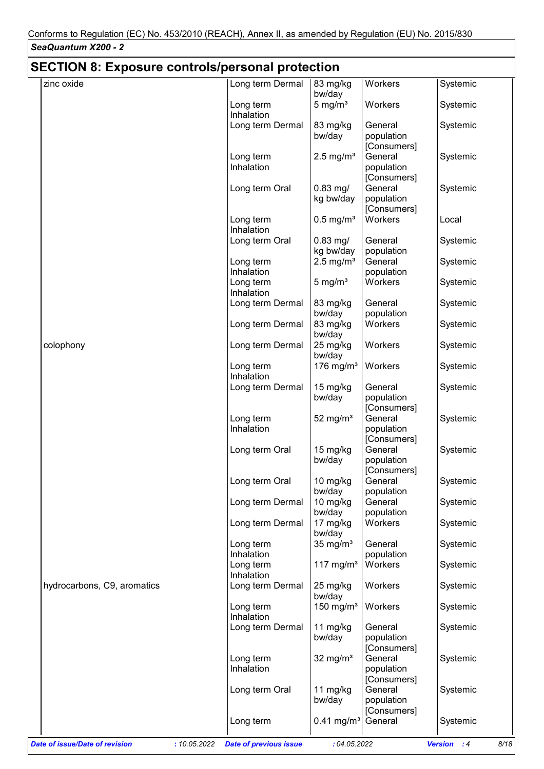| <b>SECTION 8: Exposure controls/personal protection</b> |                         |                          |                       |          |
|---------------------------------------------------------|-------------------------|--------------------------|-----------------------|----------|
| zinc oxide                                              | Long term Dermal        | 83 mg/kg                 | Workers               | Systemic |
|                                                         |                         | bw/day                   |                       |          |
|                                                         | Long term               | $5 \text{ mg/m}^3$       | Workers               | Systemic |
|                                                         | Inhalation              |                          |                       |          |
|                                                         | Long term Dermal        | 83 mg/kg                 | General               | Systemic |
|                                                         |                         | bw/day                   | population            |          |
|                                                         |                         |                          | [Consumers]           |          |
|                                                         | Long term               | $2.5$ mg/m <sup>3</sup>  | General               | Systemic |
|                                                         | Inhalation              |                          | population            |          |
|                                                         |                         |                          | [Consumers]           |          |
|                                                         | Long term Oral          | $0.83$ mg/               | General               | Systemic |
|                                                         |                         | kg bw/day                | population            |          |
|                                                         |                         |                          | [Consumers]           |          |
|                                                         | Long term               | $0.5$ mg/m <sup>3</sup>  | Workers               | Local    |
|                                                         | Inhalation              |                          |                       |          |
|                                                         | Long term Oral          | $0.83$ mg/               | General               | Systemic |
|                                                         |                         | kg bw/day                | population            |          |
|                                                         | Long term               | $2.5 \text{ mg/m}^3$     | General               | Systemic |
|                                                         | Inhalation              |                          | population            |          |
|                                                         | Long term               | 5 mg/ $m3$               | Workers               | Systemic |
|                                                         | Inhalation              |                          |                       |          |
|                                                         | Long term Dermal        | 83 mg/kg                 | General               | Systemic |
|                                                         |                         | bw/day                   | population            |          |
|                                                         | Long term Dermal        | 83 mg/kg                 | Workers               | Systemic |
|                                                         |                         | bw/day                   |                       |          |
| colophony                                               | Long term Dermal        | 25 mg/kg                 | Workers               | Systemic |
|                                                         |                         | bw/day                   |                       |          |
|                                                         | Long term               | 176 mg/ $m3$             | Workers               | Systemic |
|                                                         | Inhalation              |                          |                       |          |
|                                                         | Long term Dermal        | 15 mg/kg                 | General               | Systemic |
|                                                         |                         | bw/day                   | population            |          |
|                                                         |                         |                          | [Consumers]           |          |
|                                                         | Long term               | 52 mg/ $m3$              | General               | Systemic |
|                                                         | Inhalation              |                          | population            |          |
|                                                         |                         |                          | [Consumers]           |          |
|                                                         | Long term Oral          | 15 mg/kg                 | General               | Systemic |
|                                                         |                         | bw/day                   | population            |          |
|                                                         |                         |                          | [Consumers]           |          |
|                                                         | Long term Oral          | 10 mg/kg                 | General               | Systemic |
|                                                         |                         | bw/day                   | population            |          |
|                                                         | Long term Dermal        | 10 mg/kg                 | General               | Systemic |
|                                                         |                         | bw/day                   | population            |          |
|                                                         | Long term Dermal        | 17 mg/kg                 | Workers               | Systemic |
|                                                         |                         | bw/day                   |                       |          |
|                                                         | Long term<br>Inhalation | 35 mg/ $m3$              | General<br>population | Systemic |
|                                                         |                         | 117 mg/ $m3$             | Workers               |          |
|                                                         | Long term<br>Inhalation |                          |                       | Systemic |
|                                                         |                         |                          |                       |          |
| hydrocarbons, C9, aromatics                             | Long term Dermal        | 25 mg/kg<br>bw/day       | Workers               | Systemic |
|                                                         | Long term               | 150 mg/ $m3$             | Workers               | Systemic |
|                                                         | Inhalation              |                          |                       |          |
|                                                         | Long term Dermal        | 11 mg/kg                 | General               | Systemic |
|                                                         |                         | bw/day                   | population            |          |
|                                                         |                         |                          | [Consumers]           |          |
|                                                         | Long term               | 32 mg/ $m3$              | General               | Systemic |
|                                                         | Inhalation              |                          | population            |          |
|                                                         |                         |                          | [Consumers]           |          |
|                                                         | Long term Oral          | 11 $mg/kg$               | General               | Systemic |
|                                                         |                         | bw/day                   | population            |          |
|                                                         |                         |                          | [Consumers]           |          |
|                                                         |                         |                          | General               | Systemic |
|                                                         | Long term               | $0.41$ mg/m <sup>3</sup> |                       |          |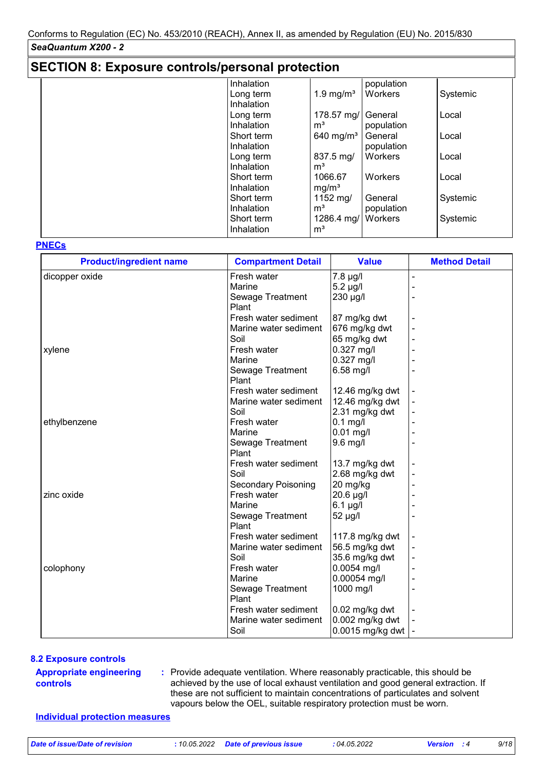## **SECTION 8: Exposure controls/personal protection**

|  | Inhalation        |                   | population |          |
|--|-------------------|-------------------|------------|----------|
|  | Long term         | 1.9 mg/ $m3$      | Workers    | Systemic |
|  | Inhalation        |                   |            |          |
|  | Long term         | 178.57 mg/        | General    | Local    |
|  | <b>Inhalation</b> | m <sup>3</sup>    | population |          |
|  | Short term        | 640 mg/ $m3$      | General    | Local    |
|  | Inhalation        |                   | population |          |
|  | Long term         | 837.5 mg/         | Workers    | Local    |
|  | Inhalation        | m <sup>3</sup>    |            |          |
|  | Short term        | 1066.67           | Workers    | Local    |
|  | Inhalation        | mg/m <sup>3</sup> |            |          |
|  | Short term        | 1152 mg/          | General    | Systemic |
|  | Inhalation        | m <sup>3</sup>    | population |          |
|  | Short term        | 1286.4 mg/        | Workers    | Systemic |
|  | Inhalation        | m <sup>3</sup>    |            |          |
|  |                   |                   |            |          |

### **PNECs**

| <b>Product/ingredient name</b> | <b>Compartment Detail</b>  | <b>Value</b>      | <b>Method Detail</b> |
|--------------------------------|----------------------------|-------------------|----------------------|
| dicopper oxide                 | Fresh water                | 7.8 µg/l          |                      |
|                                | Marine                     | $5.2 \mu g/l$     |                      |
|                                | Sewage Treatment           | 230 µg/l          |                      |
|                                | Plant                      |                   |                      |
|                                | Fresh water sediment       | 87 mg/kg dwt      |                      |
|                                | Marine water sediment      | 676 mg/kg dwt     |                      |
|                                | Soil                       | 65 mg/kg dwt      |                      |
| xylene                         | Fresh water                | 0.327 mg/l        |                      |
|                                | Marine                     | $0.327$ mg/l      |                      |
|                                | Sewage Treatment           | 6.58 mg/l         |                      |
|                                | Plant                      |                   |                      |
|                                | Fresh water sediment       | 12.46 mg/kg dwt   |                      |
|                                | Marine water sediment      | 12.46 mg/kg dwt   |                      |
|                                | Soil                       | 2.31 mg/kg dwt    |                      |
| ethylbenzene                   | Fresh water                | $0.1$ mg/l        |                      |
|                                | Marine                     | $0.01$ mg/l       |                      |
|                                | Sewage Treatment           | $9.6$ mg/l        |                      |
|                                | Plant                      |                   |                      |
|                                | Fresh water sediment       | 13.7 mg/kg dwt    |                      |
|                                | Soil                       | 2.68 mg/kg dwt    |                      |
|                                | <b>Secondary Poisoning</b> | 20 mg/kg          |                      |
| zinc oxide                     | Fresh water                | 20.6 µg/l         |                      |
|                                | Marine                     | $6.1$ µg/l        |                      |
|                                | Sewage Treatment           | 52 µg/l           |                      |
|                                | Plant                      |                   |                      |
|                                | Fresh water sediment       | 117.8 $mg/kg$ dwt |                      |
|                                | Marine water sediment      | 56.5 mg/kg dwt    |                      |
|                                | Soil                       | 35.6 mg/kg dwt    |                      |
| colophony                      | Fresh water                | $0.0054$ mg/l     |                      |
|                                | Marine                     | 0.00054 mg/l      |                      |
|                                | Sewage Treatment           | 1000 mg/l         |                      |
|                                | Plant                      |                   |                      |
|                                | Fresh water sediment       | 0.02 mg/kg dwt    |                      |
|                                | Marine water sediment      | 0.002 mg/kg dwt   |                      |
|                                | Soil                       | 0.0015 mg/kg dwt  |                      |

#### **8.2 Exposure controls**

#### **Appropriate engineering controls**

Provide adequate ventilation. Where reasonably practicable, this should be **:** achieved by the use of local exhaust ventilation and good general extraction. If these are not sufficient to maintain concentrations of particulates and solvent vapours below the OEL, suitable respiratory protection must be worn.

### **Individual protection measures**

*Date of issue/Date of revision* **:** *10.05.2022 Date of previous issue : 04.05.2022 Version : 4 9/18*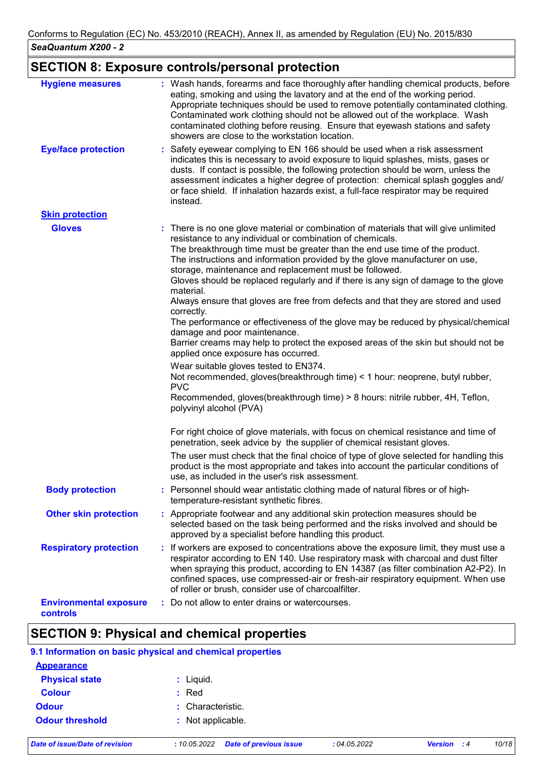## **SECTION 8: Exposure controls/personal protection**

| <b>Hygiene measures</b>                   | : Wash hands, forearms and face thoroughly after handling chemical products, before<br>eating, smoking and using the lavatory and at the end of the working period.<br>Appropriate techniques should be used to remove potentially contaminated clothing.<br>Contaminated work clothing should not be allowed out of the workplace. Wash<br>contaminated clothing before reusing. Ensure that eyewash stations and safety<br>showers are close to the workstation location.                                                                                                                                                                                                                                                                                                                                                                                                                                                                                                                                                                                                             |
|-------------------------------------------|-----------------------------------------------------------------------------------------------------------------------------------------------------------------------------------------------------------------------------------------------------------------------------------------------------------------------------------------------------------------------------------------------------------------------------------------------------------------------------------------------------------------------------------------------------------------------------------------------------------------------------------------------------------------------------------------------------------------------------------------------------------------------------------------------------------------------------------------------------------------------------------------------------------------------------------------------------------------------------------------------------------------------------------------------------------------------------------------|
| <b>Eye/face protection</b>                | Safety eyewear complying to EN 166 should be used when a risk assessment<br>indicates this is necessary to avoid exposure to liquid splashes, mists, gases or<br>dusts. If contact is possible, the following protection should be worn, unless the<br>assessment indicates a higher degree of protection: chemical splash goggles and/<br>or face shield. If inhalation hazards exist, a full-face respirator may be required<br>instead.                                                                                                                                                                                                                                                                                                                                                                                                                                                                                                                                                                                                                                              |
| <b>Skin protection</b>                    |                                                                                                                                                                                                                                                                                                                                                                                                                                                                                                                                                                                                                                                                                                                                                                                                                                                                                                                                                                                                                                                                                         |
| <b>Gloves</b>                             | : There is no one glove material or combination of materials that will give unlimited<br>resistance to any individual or combination of chemicals.<br>The breakthrough time must be greater than the end use time of the product.<br>The instructions and information provided by the glove manufacturer on use,<br>storage, maintenance and replacement must be followed.<br>Gloves should be replaced regularly and if there is any sign of damage to the glove<br>material.<br>Always ensure that gloves are free from defects and that they are stored and used<br>correctly.<br>The performance or effectiveness of the glove may be reduced by physical/chemical<br>damage and poor maintenance.<br>Barrier creams may help to protect the exposed areas of the skin but should not be<br>applied once exposure has occurred.<br>Wear suitable gloves tested to EN374.<br>Not recommended, gloves (breakthrough time) < 1 hour: neoprene, butyl rubber,<br><b>PVC</b><br>Recommended, gloves(breakthrough time) > 8 hours: nitrile rubber, 4H, Teflon,<br>polyvinyl alcohol (PVA) |
|                                           | For right choice of glove materials, with focus on chemical resistance and time of<br>penetration, seek advice by the supplier of chemical resistant gloves.                                                                                                                                                                                                                                                                                                                                                                                                                                                                                                                                                                                                                                                                                                                                                                                                                                                                                                                            |
|                                           | The user must check that the final choice of type of glove selected for handling this<br>product is the most appropriate and takes into account the particular conditions of<br>use, as included in the user's risk assessment.                                                                                                                                                                                                                                                                                                                                                                                                                                                                                                                                                                                                                                                                                                                                                                                                                                                         |
| <b>Body protection</b>                    | : Personnel should wear antistatic clothing made of natural fibres or of high-<br>temperature-resistant synthetic fibres.                                                                                                                                                                                                                                                                                                                                                                                                                                                                                                                                                                                                                                                                                                                                                                                                                                                                                                                                                               |
| <b>Other skin protection</b>              | : Appropriate footwear and any additional skin protection measures should be<br>selected based on the task being performed and the risks involved and should be<br>approved by a specialist before handling this product.                                                                                                                                                                                                                                                                                                                                                                                                                                                                                                                                                                                                                                                                                                                                                                                                                                                               |
| <b>Respiratory protection</b>             | : If workers are exposed to concentrations above the exposure limit, they must use a<br>respirator according to EN 140. Use respiratory mask with charcoal and dust filter<br>when spraying this product, according to EN 14387 (as filter combination A2-P2). In<br>confined spaces, use compressed-air or fresh-air respiratory equipment. When use<br>of roller or brush, consider use of charcoalfilter.                                                                                                                                                                                                                                                                                                                                                                                                                                                                                                                                                                                                                                                                            |
| <b>Environmental exposure</b><br>controls | Do not allow to enter drains or watercourses.                                                                                                                                                                                                                                                                                                                                                                                                                                                                                                                                                                                                                                                                                                                                                                                                                                                                                                                                                                                                                                           |

# **SECTION 9: Physical and chemical properties**

|                        | 9.1 Information on basic physical and chemical properties |
|------------------------|-----------------------------------------------------------|
| <b>Appearance</b>      |                                                           |
| <b>Physical state</b>  | : Liquid.                                                 |
| <b>Colour</b>          | $:$ Red                                                   |
| <b>Odour</b>           | : Characteristic.                                         |
| <b>Odour threshold</b> | : Not applicable.                                         |
|                        |                                                           |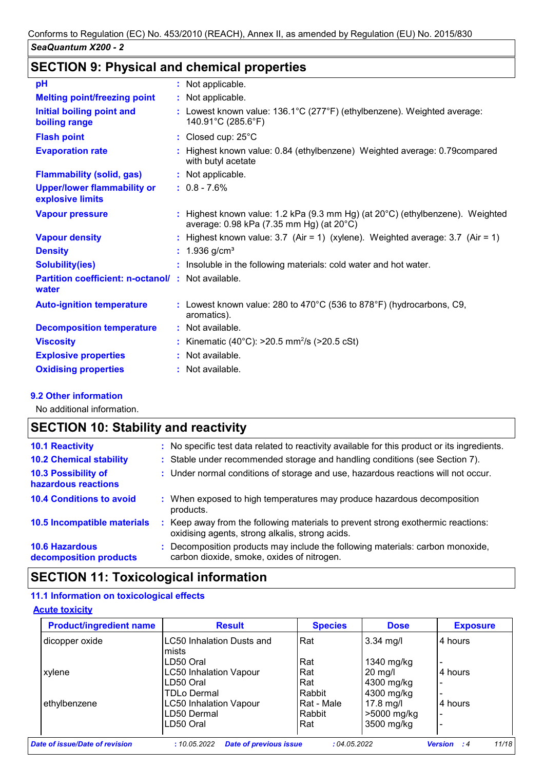# **SECTION 9: Physical and chemical properties**

| pH                                                                | : Not applicable.                                                                                                                   |
|-------------------------------------------------------------------|-------------------------------------------------------------------------------------------------------------------------------------|
| <b>Melting point/freezing point</b>                               | : Not applicable.                                                                                                                   |
| Initial boiling point and<br>boiling range                        | : Lowest known value: 136.1°C (277°F) (ethylbenzene). Weighted average:<br>140.91°C (285.6°F)                                       |
| <b>Flash point</b>                                                | : Closed cup: $25^{\circ}$ C                                                                                                        |
| <b>Evaporation rate</b>                                           | Highest known value: 0.84 (ethylbenzene) Weighted average: 0.79 compared<br>with butyl acetate                                      |
| <b>Flammability (solid, gas)</b>                                  | : Not applicable.                                                                                                                   |
| <b>Upper/lower flammability or</b><br>explosive limits            | $: 0.8 - 7.6\%$                                                                                                                     |
| <b>Vapour pressure</b>                                            | : Highest known value: 1.2 kPa (9.3 mm Hg) (at $20^{\circ}$ C) (ethylbenzene). Weighted<br>average: 0.98 kPa (7.35 mm Hg) (at 20°C) |
| <b>Vapour density</b>                                             | : Highest known value: $3.7$ (Air = 1) (xylene). Weighted average: $3.7$ (Air = 1)                                                  |
| <b>Density</b>                                                    | : $1.936$ g/cm <sup>3</sup>                                                                                                         |
| <b>Solubility(ies)</b>                                            | : Insoluble in the following materials: cold water and hot water.                                                                   |
| <b>Partition coefficient: n-octanol/: Not available.</b><br>water |                                                                                                                                     |
| <b>Auto-ignition temperature</b>                                  | : Lowest known value: 280 to 470°C (536 to 878°F) (hydrocarbons, C9,<br>aromatics).                                                 |
| <b>Decomposition temperature</b>                                  | : Not available.                                                                                                                    |
| <b>Viscosity</b>                                                  | : Kinematic (40°C): $>20.5$ mm <sup>2</sup> /s ( $>20.5$ cSt)                                                                       |
| <b>Explosive properties</b>                                       | : Not available.                                                                                                                    |
| <b>Oxidising properties</b>                                       | : Not available.                                                                                                                    |
|                                                                   |                                                                                                                                     |

## **9.2 Other information**

No additional information.

# **SECTION 10: Stability and reactivity**

| <b>10.1 Reactivity</b>                          | : No specific test data related to reactivity available for this product or its ingredients.                                        |
|-------------------------------------------------|-------------------------------------------------------------------------------------------------------------------------------------|
| <b>10.2 Chemical stability</b>                  | : Stable under recommended storage and handling conditions (see Section 7).                                                         |
| 10.3 Possibility of<br>hazardous reactions      | : Under normal conditions of storage and use, hazardous reactions will not occur.                                                   |
| <b>10.4 Conditions to avoid</b>                 | : When exposed to high temperatures may produce hazardous decomposition<br>products.                                                |
| 10.5 Incompatible materials                     | : Keep away from the following materials to prevent strong exothermic reactions:<br>oxidising agents, strong alkalis, strong acids. |
| <b>10.6 Hazardous</b><br>decomposition products | : Decomposition products may include the following materials: carbon monoxide,<br>carbon dioxide, smoke, oxides of nitrogen.        |

## **SECTION 11: Toxicological information**

## **11.1 Information on toxicological effects**

## **Acute toxicity**

| <b>Product/ingredient name</b> | <b>Result</b>                    | <b>Species</b>    | <b>Dose</b> | <b>Exposure</b> |  |
|--------------------------------|----------------------------------|-------------------|-------------|-----------------|--|
| dicopper oxide                 | <b>LC50 Inhalation Dusts and</b> | Rat               | $3.34$ mg/l | 4 hours         |  |
|                                | mists                            |                   |             |                 |  |
|                                | LD50 Oral                        | Rat               | 1340 mg/kg  |                 |  |
| xylene                         | <b>LC50 Inhalation Vapour</b>    | Rat               | $20$ mg/l   | 4 hours         |  |
|                                | LD50 Oral                        | Rat               | 4300 mg/kg  |                 |  |
|                                | TDLo Dermal                      | Rabbit            | 4300 mg/kg  |                 |  |
| ethylbenzene                   | <b>LC50 Inhalation Vapour</b>    | <b>Rat - Male</b> | $17.8$ mg/l | 4 hours         |  |
|                                | LD50 Dermal                      | Rabbit            | >5000 mg/kg |                 |  |
|                                | LD50 Oral                        | Rat               | 3500 mg/kg  |                 |  |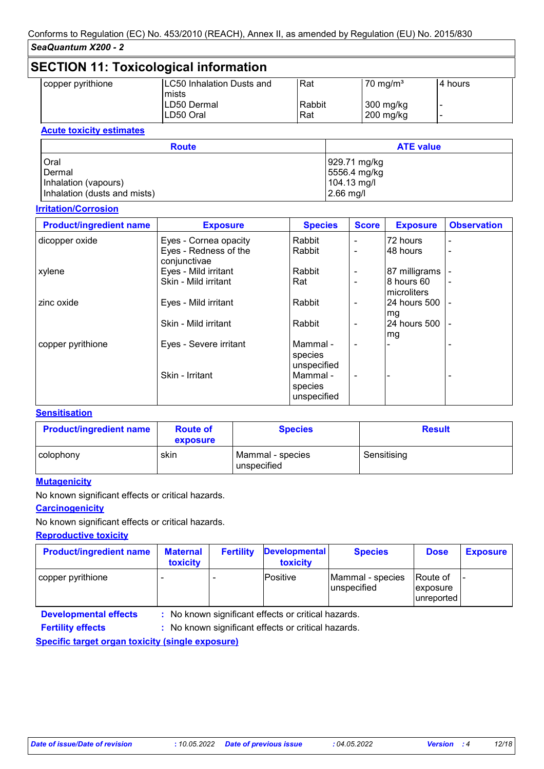## **SECTION 11: Toxicological information**

| copper pyrithione | <b>LC50 Inhalation Dusts and</b> | Rat    | $70 \text{ mg/m}^3$ | l4 hours |
|-------------------|----------------------------------|--------|---------------------|----------|
|                   | mists                            |        |                     |          |
|                   | LD50 Dermal                      | Rabbit | 300 mg/kg           |          |
|                   | LD50 Oral                        | Rat    | 200 mg/kg           |          |
|                   |                                  |        |                     |          |

### **Acute toxicity estimates**

| <b>Route</b>                 | <b>ATE value</b> |  |  |
|------------------------------|------------------|--|--|
| Oral                         | 929.71 mg/kg     |  |  |
| Dermal                       | 5556.4 mg/kg     |  |  |
| Inhalation (vapours)         | $104.13$ mg/l    |  |  |
| Inhalation (dusts and mists) | $2.66$ mg/l      |  |  |

## **Irritation/Corrosion**

| <b>Product/ingredient name</b> | <b>Exposure</b>                       | <b>Species</b>                     | <b>Score</b>             | <b>Exposure</b>           | <b>Observation</b>       |
|--------------------------------|---------------------------------------|------------------------------------|--------------------------|---------------------------|--------------------------|
| dicopper oxide                 | Eyes - Cornea opacity                 | Rabbit                             | $\blacksquare$           | 72 hours                  |                          |
|                                | Eyes - Redness of the<br>conjunctivae | Rabbit                             | $\blacksquare$           | 48 hours                  |                          |
| xylene                         | Eyes - Mild irritant                  | Rabbit                             | $\overline{\phantom{a}}$ | 87 milligrams             |                          |
|                                | Skin - Mild irritant                  | Rat                                | $\blacksquare$           | 8 hours 60<br>microliters | $\overline{\phantom{a}}$ |
| zinc oxide                     | Eyes - Mild irritant                  | Rabbit                             |                          | 24 hours 500<br>mg        | $\blacksquare$           |
|                                | Skin - Mild irritant                  | Rabbit                             | $\overline{\phantom{a}}$ | 24 hours 500<br>mg        | $\blacksquare$           |
| copper pyrithione              | Eyes - Severe irritant                | Mammal -<br>species<br>unspecified | $\blacksquare$           |                           |                          |
|                                | Skin - Irritant                       | Mammal -<br>species<br>unspecified | $\blacksquare$           |                           |                          |

### **Sensitisation**

| <b>Product/ingredient name</b> | <b>Route of</b><br>exposure | <b>Species</b>                  | <b>Result</b> |
|--------------------------------|-----------------------------|---------------------------------|---------------|
| colophony                      | skin                        | Mammal - species<br>unspecified | Sensitising   |

## **Mutagenicity**

No known significant effects or critical hazards.

# **Carcinogenicity**

No known significant effects or critical hazards.

**Reproductive toxicity**

| <b>Product/ingredient name</b> | <b>Maternal</b><br><b>toxicity</b> | <b>Fertility</b> | <b>Developmental</b><br>toxicity | <b>Species</b>                  | <b>Dose</b>                        | <b>Exposure</b> |
|--------------------------------|------------------------------------|------------------|----------------------------------|---------------------------------|------------------------------------|-----------------|
| copper pyrithione              |                                    |                  | Positive                         | Mammal - species<br>unspecified | Route of<br>exposure<br>unreported |                 |

**Developmental effects :**

: No known significant effects or critical hazards.

: No known significant effects or critical hazards. **Fertility effects :**

**Specific target organ toxicity (single exposure)**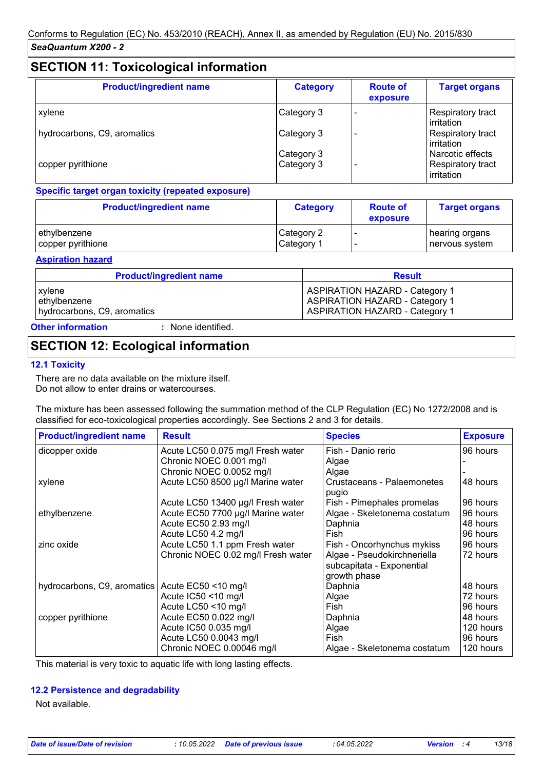# **SECTION 11: Toxicological information**

| <b>Product/ingredient name</b> | <b>Category</b> | <b>Route of</b><br>exposure | <b>Target organs</b>            |
|--------------------------------|-----------------|-----------------------------|---------------------------------|
| xylene                         | Category 3      |                             | Respiratory tract<br>irritation |
| hydrocarbons, C9, aromatics    | Category 3      |                             | Respiratory tract<br>irritation |
|                                | Category 3      |                             | Narcotic effects                |
| copper pyrithione              | Category 3      |                             | Respiratory tract<br>irritation |

## **Specific target organ toxicity (repeated exposure)**

| <b>Product/ingredient name</b> | <b>Category</b> | <b>Route of</b><br>exposure | <b>Target organs</b> |
|--------------------------------|-----------------|-----------------------------|----------------------|
| ethylbenzene                   | Category 2      |                             | hearing organs       |
| copper pyrithione              | Category 1      |                             | ∣nervous system      |

#### **Aspiration hazard**

| <b>Product/ingredient name</b> | <b>Result</b>                         |
|--------------------------------|---------------------------------------|
| ∣ xylene                       | <b>ASPIRATION HAZARD - Category 1</b> |
| ethylbenzene                   | <b>ASPIRATION HAZARD - Category 1</b> |
| hydrocarbons, C9, aromatics    | <b>ASPIRATION HAZARD - Category 1</b> |

# **Other information :**

: None identified.

## **SECTION 12: Ecological information**

### **12.1 Toxicity**

There are no data available on the mixture itself. Do not allow to enter drains or watercourses.

The mixture has been assessed following the summation method of the CLP Regulation (EC) No 1272/2008 and is classified for eco-toxicological properties accordingly. See Sections 2 and 3 for details.

| <b>Product/ingredient name</b> | <b>Result</b>                      | <b>Species</b>                      | <b>Exposure</b> |
|--------------------------------|------------------------------------|-------------------------------------|-----------------|
| dicopper oxide                 | Acute LC50 0.075 mg/l Fresh water  | Fish - Danio rerio                  | 96 hours        |
|                                | Chronic NOEC 0.001 mg/l            | Algae                               |                 |
|                                | Chronic NOEC 0.0052 mg/l           | Algae                               |                 |
| xylene                         | Acute LC50 8500 µg/l Marine water  | Crustaceans - Palaemonetes<br>pugio | 48 hours        |
|                                | Acute LC50 13400 µg/l Fresh water  | Fish - Pimephales promelas          | 96 hours        |
| ethylbenzene                   | Acute EC50 7700 µg/l Marine water  | Algae - Skeletonema costatum        | 96 hours        |
|                                | Acute EC50 2.93 mg/l               | Daphnia                             | 48 hours        |
|                                | Acute LC50 4.2 mg/l                | Fish                                | 96 hours        |
| zinc oxide                     | Acute LC50 1.1 ppm Fresh water     | Fish - Oncorhynchus mykiss          | 96 hours        |
|                                | Chronic NOEC 0.02 mg/l Fresh water | Algae - Pseudokirchneriella         | 72 hours        |
|                                |                                    | subcapitata - Exponential           |                 |
|                                |                                    | growth phase                        |                 |
| hydrocarbons, C9, aromatics    | Acute EC50 <10 mg/l                | Daphnia                             | 48 hours        |
|                                | Acute IC50 <10 mg/l                | Algae                               | 72 hours        |
|                                | Acute LC50 <10 mg/l                | Fish                                | 96 hours        |
| copper pyrithione              | Acute EC50 0.022 mg/l              | Daphnia                             | 48 hours        |
|                                | Acute IC50 0.035 mg/l              | Algae                               | 120 hours       |
|                                | Acute LC50 0.0043 mg/l             | Fish                                | 96 hours        |
|                                | Chronic NOEC 0.00046 mg/l          | Algae - Skeletonema costatum        | 120 hours       |

This material is very toxic to aquatic life with long lasting effects.

### **12.2 Persistence and degradability**

Not available.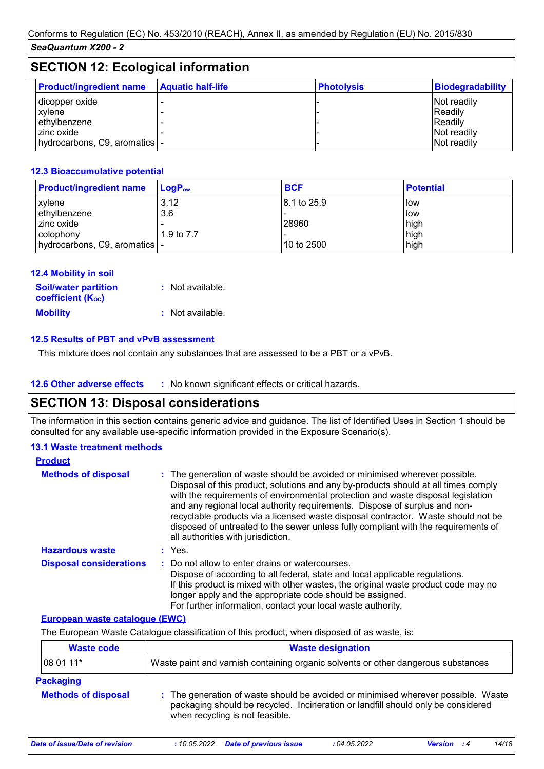| <b>SECTION 12: Ecological information</b>                                                   |                          |                   |                                                                 |
|---------------------------------------------------------------------------------------------|--------------------------|-------------------|-----------------------------------------------------------------|
| <b>Product/ingredient name</b>                                                              | <b>Aquatic half-life</b> | <b>Photolysis</b> | <b>Biodegradability</b>                                         |
| I dicopper oxide<br>xylene<br>ethylbenzene<br>zinc oxide<br>hydrocarbons, C9, aromatics   - |                          |                   | Not readily<br>Readily<br>Readily<br>Not readily<br>Not readily |

### **12.3 Bioaccumulative potential**

| <b>Product/ingredient name</b>  | $LoaPow$   | <b>BCF</b>   | <b>Potential</b> |
|---------------------------------|------------|--------------|------------------|
| xylene                          | 3.12       | 18.1 to 25.9 | low              |
| ethylbenzene                    | 3.6        |              | low              |
| zinc oxide                      |            | 28960        | high             |
| colophony                       | 1.9 to 7.7 |              | high             |
| hydrocarbons, C9, aromatics   - |            | 10 to 2500   | high             |

| <b>12.4 Mobility in soil</b>                            |                  |
|---------------------------------------------------------|------------------|
| <b>Soil/water partition</b><br><b>coefficient (Koc)</b> | : Not available. |
| <b>Mobility</b>                                         | : Not available. |

### **12.5 Results of PBT and vPvB assessment**

This mixture does not contain any substances that are assessed to be a PBT or a vPvB.

## **SECTION 13: Disposal considerations**

The information in this section contains generic advice and guidance. The list of Identified Uses in Section 1 should be consulted for any available use-specific information provided in the Exposure Scenario(s).

### **13.1 Waste treatment methods**

| <b>Product</b>                 |                                                                                                                                                                                                                                                                                                                                                                                                                                                                                                                                                      |
|--------------------------------|------------------------------------------------------------------------------------------------------------------------------------------------------------------------------------------------------------------------------------------------------------------------------------------------------------------------------------------------------------------------------------------------------------------------------------------------------------------------------------------------------------------------------------------------------|
| <b>Methods of disposal</b>     | : The generation of waste should be avoided or minimised wherever possible.<br>Disposal of this product, solutions and any by-products should at all times comply<br>with the requirements of environmental protection and waste disposal legislation<br>and any regional local authority requirements. Dispose of surplus and non-<br>recyclable products via a licensed waste disposal contractor. Waste should not be<br>disposed of untreated to the sewer unless fully compliant with the requirements of<br>all authorities with jurisdiction. |
| <b>Hazardous waste</b>         | : Yes.                                                                                                                                                                                                                                                                                                                                                                                                                                                                                                                                               |
| <b>Disposal considerations</b> | : Do not allow to enter drains or watercourses.<br>Dispose of according to all federal, state and local applicable regulations.<br>If this product is mixed with other wastes, the original waste product code may no<br>longer apply and the appropriate code should be assigned.<br>For further information, contact your local waste authority.                                                                                                                                                                                                   |

### **European waste catalogue (EWC)**

The European Waste Catalogue classification of this product, when disposed of as waste, is:

| <b>Waste code</b>                              | <b>Waste designation</b>                                                          |  |                                                                                                                                                                       |  |  |  |
|------------------------------------------------|-----------------------------------------------------------------------------------|--|-----------------------------------------------------------------------------------------------------------------------------------------------------------------------|--|--|--|
| 08 01 11*                                      | Waste paint and varnish containing organic solvents or other dangerous substances |  |                                                                                                                                                                       |  |  |  |
| <b>Packaging</b><br><b>Methods of disposal</b> | when recycling is not feasible.                                                   |  | : The generation of waste should be avoided or minimised wherever possible. Waste<br>packaging should be recycled. Incineration or landfill should only be considered |  |  |  |
|                                                |                                                                                   |  |                                                                                                                                                                       |  |  |  |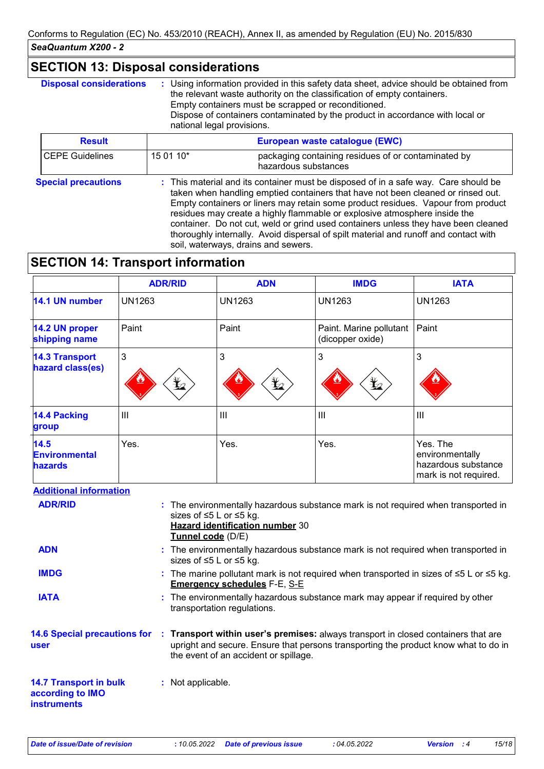# **SECTION 13: Disposal considerations**

| <b>Disposal considerations</b> | national legal provisions. | : Using information provided in this safety data sheet, advice should be obtained from<br>the relevant waste authority on the classification of empty containers.<br>Empty containers must be scrapped or reconditioned.<br>Dispose of containers contaminated by the product in accordance with local or                                                                                                                                                                                                                                                     |
|--------------------------------|----------------------------|---------------------------------------------------------------------------------------------------------------------------------------------------------------------------------------------------------------------------------------------------------------------------------------------------------------------------------------------------------------------------------------------------------------------------------------------------------------------------------------------------------------------------------------------------------------|
| <b>Result</b>                  |                            | European waste catalogue (EWC)                                                                                                                                                                                                                                                                                                                                                                                                                                                                                                                                |
| <b>CEPE Guidelines</b>         | 15 01 10*                  | packaging containing residues of or contaminated by<br>hazardous substances                                                                                                                                                                                                                                                                                                                                                                                                                                                                                   |
| <b>Special precautions</b>     |                            | : This material and its container must be disposed of in a safe way. Care should be<br>taken when handling emptied containers that have not been cleaned or rinsed out.<br>Empty containers or liners may retain some product residues. Vapour from product<br>residues may create a highly flammable or explosive atmosphere inside the<br>container. Do not cut, weld or grind used containers unless they have been cleaned<br>thoroughly internally. Avoid dispersal of spilt material and runoff and contact with<br>soil, waterways, drains and sewers. |

# **SECTION 14: Transport information**

|                                                | <b>ADR/RID</b>  | <b>ADN</b>      | <b>IMDG</b>                                 | <b>IATA</b>                                                                 |
|------------------------------------------------|-----------------|-----------------|---------------------------------------------|-----------------------------------------------------------------------------|
| 14.1 UN number                                 | <b>UN1263</b>   | <b>UN1263</b>   | <b>UN1263</b>                               | <b>UN1263</b>                                                               |
| 14.2 UN proper<br>shipping name                | Paint           | Paint           | Paint. Marine pollutant<br>(dicopper oxide) | Paint                                                                       |
| <b>14.3 Transport</b><br>hazard class(es)      | 3<br>$\bigstar$ | 3<br>$\bigstar$ | 3<br>$\frac{\psi}{2}$                       | 3                                                                           |
| 14.4 Packing<br>group                          | $\mathbf{III}$  | III             | $\mathbf{III}$                              | $\mathbf{III}$                                                              |
| 14.5<br><b>Environmental</b><br><b>hazards</b> | Yes.            | Yes.            | Yes.                                        | Yes. The<br>environmentally<br>hazardous substance<br>mark is not required. |

### **Additional information**

| <b>ADR/RID</b>                                                          | : The environmentally hazardous substance mark is not required when transported in<br>sizes of ≤5 L or ≤5 kg.<br><b>Hazard identification number 30</b><br>Tunnel code (D/E)                                       |
|-------------------------------------------------------------------------|--------------------------------------------------------------------------------------------------------------------------------------------------------------------------------------------------------------------|
| <b>ADN</b>                                                              | : The environmentally hazardous substance mark is not required when transported in<br>sizes of ≤5 L or ≤5 kg.                                                                                                      |
| <b>IMDG</b>                                                             | : The marine pollutant mark is not required when transported in sizes of $\leq 5$ L or $\leq 5$ kg.<br><b>Emergency schedules F-E, S-E</b>                                                                         |
| <b>IATA</b>                                                             | : The environmentally hazardous substance mark may appear if required by other<br>transportation regulations.                                                                                                      |
| <b>14.6 Special precautions for</b><br>user                             | : Transport within user's premises: always transport in closed containers that are<br>upright and secure. Ensure that persons transporting the product know what to do in<br>the event of an accident or spillage. |
| <b>14.7 Transport in bulk</b><br>according to IMO<br><b>instruments</b> | : Not applicable.                                                                                                                                                                                                  |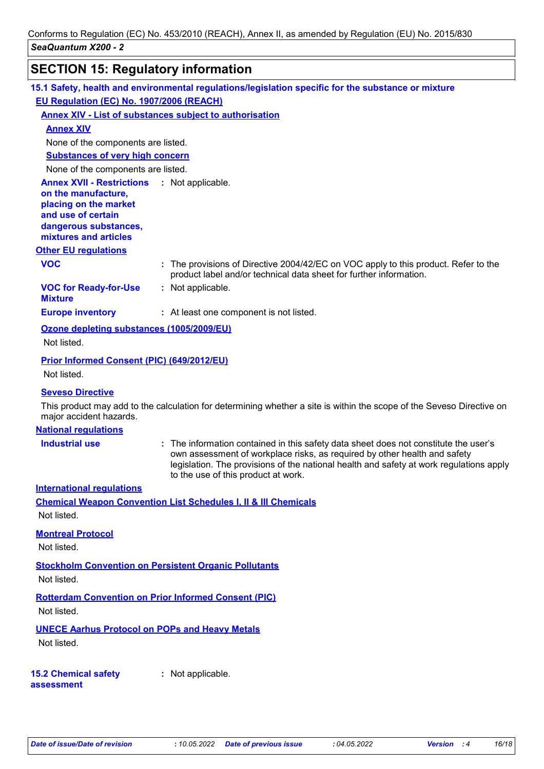# **SECTION 15: Regulatory information**

|                                                                                                                                                                            | 15.1 Safety, health and environmental regulations/legislation specific for the substance or mixture                                                                                                                                                                                                 |
|----------------------------------------------------------------------------------------------------------------------------------------------------------------------------|-----------------------------------------------------------------------------------------------------------------------------------------------------------------------------------------------------------------------------------------------------------------------------------------------------|
| EU Regulation (EC) No. 1907/2006 (REACH)                                                                                                                                   |                                                                                                                                                                                                                                                                                                     |
|                                                                                                                                                                            | <b>Annex XIV - List of substances subject to authorisation</b>                                                                                                                                                                                                                                      |
| <b>Annex XIV</b>                                                                                                                                                           |                                                                                                                                                                                                                                                                                                     |
| None of the components are listed.                                                                                                                                         |                                                                                                                                                                                                                                                                                                     |
| <b>Substances of very high concern</b>                                                                                                                                     |                                                                                                                                                                                                                                                                                                     |
| None of the components are listed.                                                                                                                                         |                                                                                                                                                                                                                                                                                                     |
| <b>Annex XVII - Restrictions : Not applicable.</b><br>on the manufacture,<br>placing on the market<br>and use of certain<br>dangerous substances,<br>mixtures and articles |                                                                                                                                                                                                                                                                                                     |
| <b>Other EU regulations</b>                                                                                                                                                |                                                                                                                                                                                                                                                                                                     |
| <b>VOC</b>                                                                                                                                                                 | : The provisions of Directive 2004/42/EC on VOC apply to this product. Refer to the<br>product label and/or technical data sheet for further information.                                                                                                                                           |
| <b>VOC for Ready-for-Use</b><br><b>Mixture</b>                                                                                                                             | : Not applicable.                                                                                                                                                                                                                                                                                   |
| <b>Europe inventory</b>                                                                                                                                                    | : At least one component is not listed.                                                                                                                                                                                                                                                             |
| Ozone depleting substances (1005/2009/EU)                                                                                                                                  |                                                                                                                                                                                                                                                                                                     |
| Not listed.                                                                                                                                                                |                                                                                                                                                                                                                                                                                                     |
| Prior Informed Consent (PIC) (649/2012/EU)                                                                                                                                 |                                                                                                                                                                                                                                                                                                     |
| Not listed.                                                                                                                                                                |                                                                                                                                                                                                                                                                                                     |
| <b>Seveso Directive</b>                                                                                                                                                    |                                                                                                                                                                                                                                                                                                     |
| major accident hazards.                                                                                                                                                    | This product may add to the calculation for determining whether a site is within the scope of the Seveso Directive on                                                                                                                                                                               |
| <b>National regulations</b>                                                                                                                                                |                                                                                                                                                                                                                                                                                                     |
| <b>Industrial use</b>                                                                                                                                                      | : The information contained in this safety data sheet does not constitute the user's<br>own assessment of workplace risks, as required by other health and safety<br>legislation. The provisions of the national health and safety at work regulations apply<br>to the use of this product at work. |
| <b>International requlations</b>                                                                                                                                           |                                                                                                                                                                                                                                                                                                     |
| Not listed.                                                                                                                                                                | <b>Chemical Weapon Convention List Schedules I, II &amp; III Chemicals</b>                                                                                                                                                                                                                          |
| <b>Montreal Protocol</b><br>Not listed.                                                                                                                                    |                                                                                                                                                                                                                                                                                                     |
| Not listed.                                                                                                                                                                | <b>Stockholm Convention on Persistent Organic Pollutants</b>                                                                                                                                                                                                                                        |
|                                                                                                                                                                            |                                                                                                                                                                                                                                                                                                     |
| Not listed.                                                                                                                                                                | <b>Rotterdam Convention on Prior Informed Consent (PIC)</b>                                                                                                                                                                                                                                         |
| <b>UNECE Aarhus Protocol on POPs and Heavy Metals</b><br>Not listed.                                                                                                       |                                                                                                                                                                                                                                                                                                     |
| <b>15.2 Chemical safety</b><br>assessment                                                                                                                                  | : Not applicable.                                                                                                                                                                                                                                                                                   |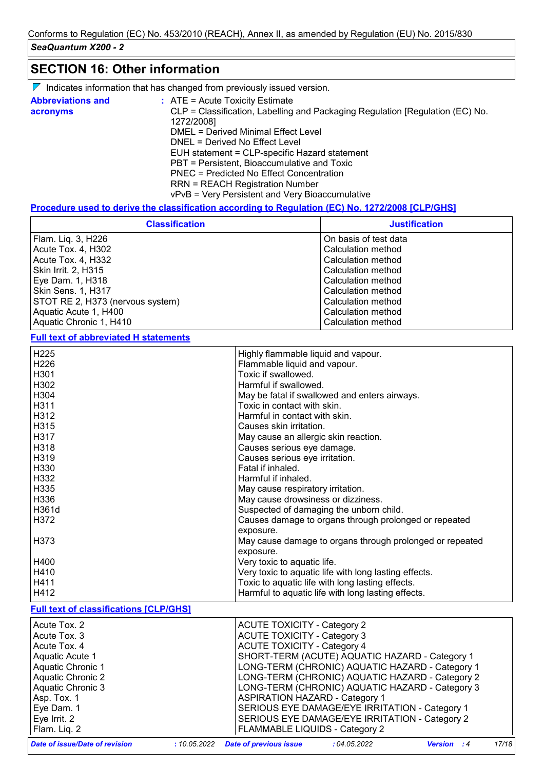## **SECTION 16: Other information**

| $\nabla$ Indicates information that has changed from previously issued version. |  |  |  |  |  |
|---------------------------------------------------------------------------------|--|--|--|--|--|
|---------------------------------------------------------------------------------|--|--|--|--|--|

| <b>Abbreviations and</b><br>acronyms | $:$ ATE = Acute Toxicity Estimate<br>CLP = Classification, Labelling and Packaging Regulation [Regulation (EC) No. |
|--------------------------------------|--------------------------------------------------------------------------------------------------------------------|
|                                      | 1272/2008]<br>DMEL = Derived Minimal Effect Level                                                                  |
|                                      |                                                                                                                    |
|                                      | DNEL = Derived No Effect Level                                                                                     |
|                                      | EUH statement = CLP-specific Hazard statement                                                                      |
|                                      | PBT = Persistent, Bioaccumulative and Toxic                                                                        |
|                                      | PNEC = Predicted No Effect Concentration                                                                           |
|                                      | <b>RRN = REACH Registration Number</b>                                                                             |
|                                      | vPvB = Very Persistent and Very Bioaccumulative                                                                    |

### **Procedure used to derive the classification according to Regulation (EC) No. 1272/2008 [CLP/GHS]**

| <b>Classification</b>            | <b>Justification</b>  |
|----------------------------------|-----------------------|
| Flam. Liq. 3, H226               | On basis of test data |
| Acute Tox. 4, H302               | Calculation method    |
| Acute Tox. 4, H332               | Calculation method    |
| Skin Irrit. 2, H315              | Calculation method    |
| Eye Dam. 1, H318                 | Calculation method    |
| <b>Skin Sens. 1, H317</b>        | Calculation method    |
| STOT RE 2, H373 (nervous system) | Calculation method    |
| Aquatic Acute 1, H400            | Calculation method    |
| Aquatic Chronic 1, H410          | Calculation method    |

**Full text of abbreviated H statements**

 $\mathsf{l}$ 

| H225                                           | Highly flammable liquid and vapour.                                          |
|------------------------------------------------|------------------------------------------------------------------------------|
| H226                                           | Flammable liquid and vapour.                                                 |
| H301                                           | Toxic if swallowed.                                                          |
| H302                                           | Harmful if swallowed.                                                        |
| H304                                           | May be fatal if swallowed and enters airways.                                |
| H311                                           | Toxic in contact with skin.                                                  |
| H312                                           | Harmful in contact with skin.                                                |
| H315                                           | Causes skin irritation.                                                      |
| H317                                           | May cause an allergic skin reaction.                                         |
| H318                                           | Causes serious eye damage.                                                   |
| H319                                           | Causes serious eye irritation.                                               |
| H330                                           | Fatal if inhaled.                                                            |
| H332                                           | Harmful if inhaled.                                                          |
| H335                                           | May cause respiratory irritation.                                            |
| H336                                           | May cause drowsiness or dizziness.                                           |
| H361d                                          | Suspected of damaging the unborn child.                                      |
| H372                                           | Causes damage to organs through prolonged or repeated                        |
|                                                | exposure.                                                                    |
| H373                                           | May cause damage to organs through prolonged or repeated                     |
|                                                | exposure.                                                                    |
| H400                                           | Very toxic to aquatic life.                                                  |
| H410                                           | Very toxic to aquatic life with long lasting effects.                        |
| H411                                           | Toxic to aquatic life with long lasting effects.                             |
| H412                                           | Harmful to aquatic life with long lasting effects.                           |
| <b>Full text of classifications [CLP/GHS]</b>  |                                                                              |
|                                                |                                                                              |
| Acute Tox. 2                                   | <b>ACUTE TOXICITY - Category 2</b>                                           |
| Acute Tox. 3                                   | <b>ACUTE TOXICITY - Category 3</b>                                           |
| Acute Tox. 4                                   | <b>ACUTE TOXICITY - Category 4</b>                                           |
| Aquatic Acute 1                                | SHORT-TERM (ACUTE) AQUATIC HAZARD - Category 1                               |
| Aquatic Chronic 1                              | LONG-TERM (CHRONIC) AQUATIC HAZARD - Category 1                              |
| <b>Aquatic Chronic 2</b>                       | LONG-TERM (CHRONIC) AQUATIC HAZARD - Category 2                              |
| <b>Aquatic Chronic 3</b>                       | LONG-TERM (CHRONIC) AQUATIC HAZARD - Category 3                              |
| Asp. Tox. 1                                    | <b>ASPIRATION HAZARD - Category 1</b>                                        |
| Eye Dam. 1                                     | SERIOUS EYE DAMAGE/EYE IRRITATION - Category 1                               |
| Eye Irrit. 2                                   | SERIOUS EYE DAMAGE/EYE IRRITATION - Category 2                               |
| Flam. Liq. 2                                   | FLAMMABLE LIQUIDS - Category 2                                               |
| Date of issue/Date of revision<br>: 10.05.2022 | 17/18<br>: 04.05.2022<br><b>Version</b> : 4<br><b>Date of previous issue</b> |